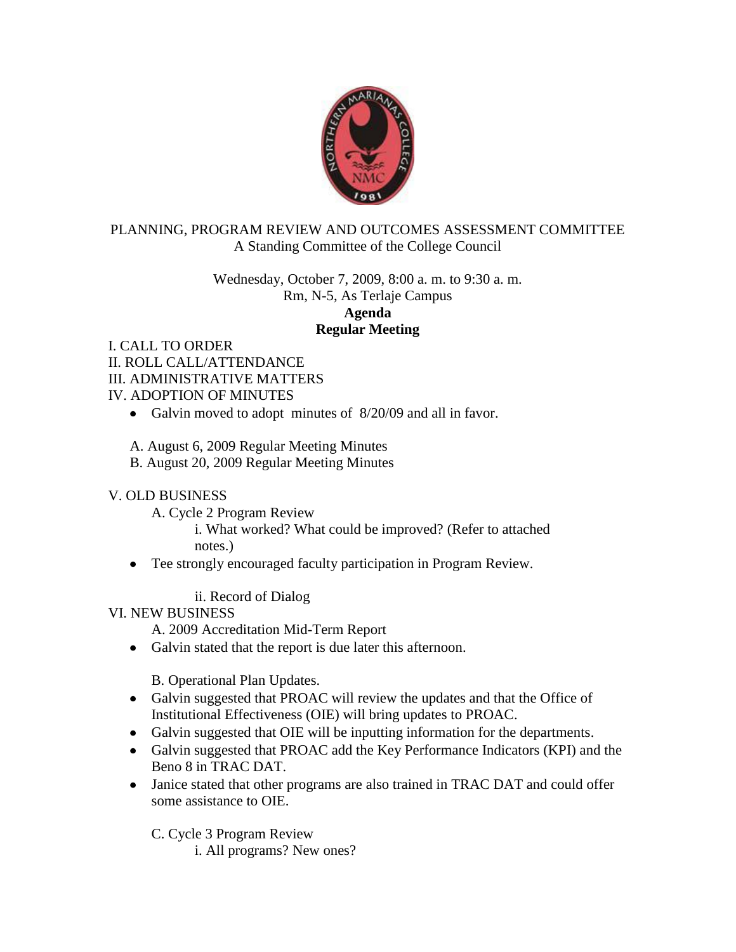

## PLANNING, PROGRAM REVIEW AND OUTCOMES ASSESSMENT COMMITTEE A Standing Committee of the College Council

Wednesday, October 7, 2009, 8:00 a. m. to 9:30 a. m. Rm, N-5, As Terlaje Campus **Agenda Regular Meeting**

I. CALL TO ORDER II. ROLL CALL/ATTENDANCE III. ADMINISTRATIVE MATTERS IV. ADOPTION OF MINUTES

- Galvin moved to adopt minutes of 8/20/09 and all in favor.
- A. August 6, 2009 Regular Meeting Minutes
- B. August 20, 2009 Regular Meeting Minutes

## V. OLD BUSINESS

- A. Cycle 2 Program Review
	- i. What worked? What could be improved? (Refer to attached notes.)
- Tee strongly encouraged faculty participation in Program Review.

ii. Record of Dialog

VI. NEW BUSINESS

A. 2009 Accreditation Mid-Term Report

• Galvin stated that the report is due later this afternoon.

B. Operational Plan Updates.

- Galvin suggested that PROAC will review the updates and that the Office of Institutional Effectiveness (OIE) will bring updates to PROAC.
- Galvin suggested that OIE will be inputting information for the departments.
- Galvin suggested that PROAC add the Key Performance Indicators (KPI) and the Beno 8 in TRAC DAT.
- Janice stated that other programs are also trained in TRAC DAT and could offer some assistance to OIE.

C. Cycle 3 Program Review

i. All programs? New ones?